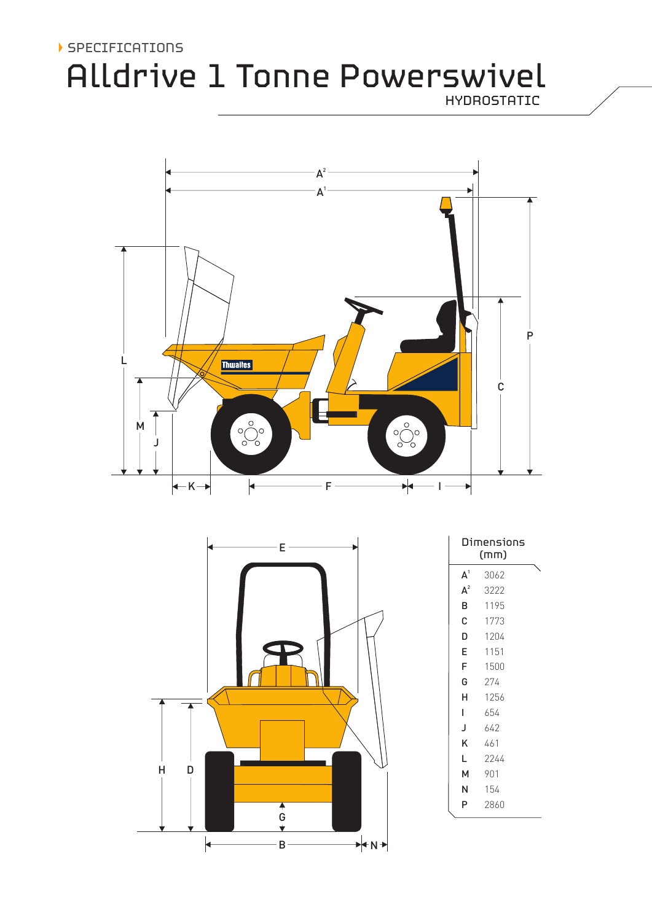## SPECIFICATIONS

# Alldrive 1 Tonne Powerswivel

HYDROSTATIC



|   |   |  | Ë             |    |
|---|---|--|---------------|----|
|   |   |  |               |    |
| H | D |  | $\frac{4}{9}$ |    |
|   |   |  | в             | 'N |

|                | Dimensions<br>(mm) |  |
|----------------|--------------------|--|
| A <sup>1</sup> | 3062               |  |
| $A^2$          | 3222               |  |
| B              | 1195               |  |
| С              | 1773               |  |
| D              | 1204               |  |
| E              | 1151               |  |
| F              | 1500               |  |
| G              | 274                |  |
| н              | 1256               |  |
| L              | 654                |  |
| J              | 642                |  |
| Κ              | 461                |  |
| L              | 2244               |  |
| м              | 901                |  |
| N              | 154                |  |
| P              | 2860               |  |
|                |                    |  |